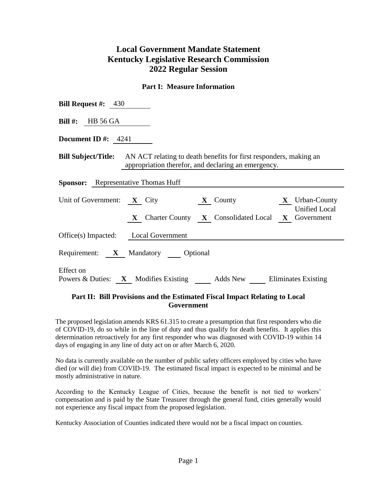## **Local Government Mandate Statement Kentucky Legislative Research Commission 2022 Regular Session**

## **Part I: Measure Information**

| <b>Bill Request #:</b> $430$                                                                                                                        |
|-----------------------------------------------------------------------------------------------------------------------------------------------------|
| Bill $\#$ : HB 56 GA                                                                                                                                |
| Document ID #: $4241$                                                                                                                               |
| <b>Bill Subject/Title:</b> AN ACT relating to death benefits for first responders, making an<br>appropriation therefor, and declaring an emergency. |
| <b>Sponsor:</b> Representative Thomas Huff                                                                                                          |
| Unit of Government: $X$ City $X$ County $X$ Urban-County<br><b>Unified Local</b><br>X Charter County X Consolidated Local X Government              |
| Office(s) Impacted: Local Government                                                                                                                |
| Requirement: X Mandatory Optional                                                                                                                   |
| Effect on<br>Powers & Duties: X Modifies Existing Adds New Eliminates Existing                                                                      |

## **Part II: Bill Provisions and the Estimated Fiscal Impact Relating to Local Government**

The proposed legislation amends KRS 61.315 to create a presumption that first responders who die of COVID-19, do so while in the line of duty and thus qualify for death benefits. It applies this determination retroactively for any first responder who was diagnosed with COVID-19 within 14 days of engaging in any line of duty act on or after March 6, 2020.

No data is currently available on the number of public safety officers employed by cities who have died (or will die) from COVID-19. The estimated fiscal impact is expected to be minimal and be mostly administrative in nature.

According to the Kentucky League of Cities, because the benefit is not tied to workers' compensation and is paid by the State Treasurer through the general fund, cities generally would not experience any fiscal impact from the proposed legislation.

Kentucky Association of Counties indicated there would not be a fiscal impact on counties.